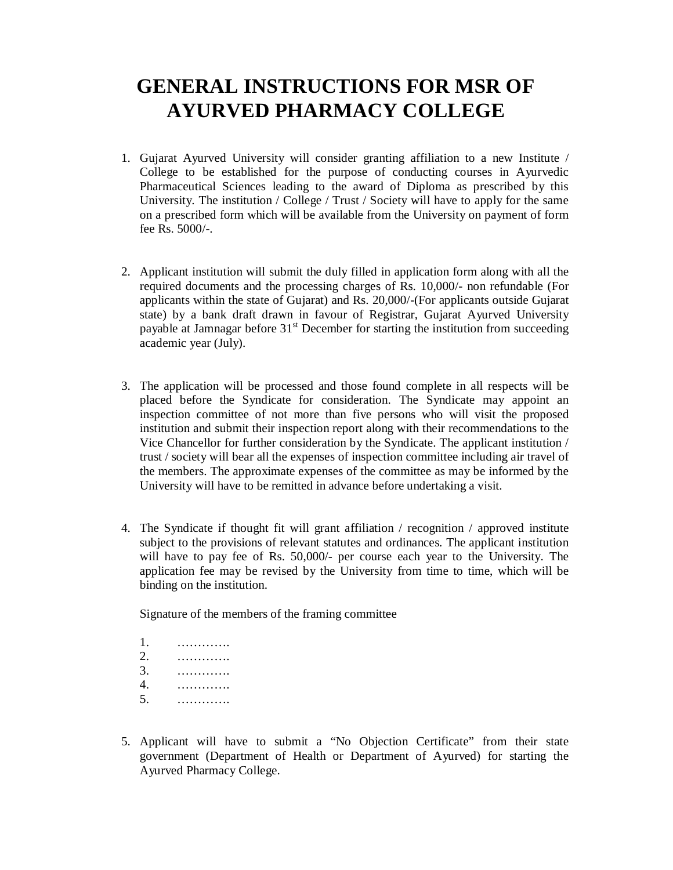## **GENERAL INSTRUCTIONS FOR MSR OF AYURVED PHARMACY COLLEGE**

- 1. Gujarat Ayurved University will consider granting affiliation to a new Institute / College to be established for the purpose of conducting courses in Ayurvedic Pharmaceutical Sciences leading to the award of Diploma as prescribed by this University. The institution / College / Trust / Society will have to apply for the same on a prescribed form which will be available from the University on payment of form fee Rs. 5000/-.
- 2. Applicant institution will submit the duly filled in application form along with all the required documents and the processing charges of Rs. 10,000/- non refundable (For applicants within the state of Gujarat) and Rs. 20,000/-(For applicants outside Gujarat state) by a bank draft drawn in favour of Registrar, Gujarat Ayurved University payable at Jamnagar before  $31<sup>st</sup>$  December for starting the institution from succeeding academic year (July).
- 3. The application will be processed and those found complete in all respects will be placed before the Syndicate for consideration. The Syndicate may appoint an inspection committee of not more than five persons who will visit the proposed institution and submit their inspection report along with their recommendations to the Vice Chancellor for further consideration by the Syndicate. The applicant institution / trust / society will bear all the expenses of inspection committee including air travel of the members. The approximate expenses of the committee as may be informed by the University will have to be remitted in advance before undertaking a visit.
- 4. The Syndicate if thought fit will grant affiliation / recognition / approved institute subject to the provisions of relevant statutes and ordinances. The applicant institution will have to pay fee of Rs. 50,000/- per course each year to the University. The application fee may be revised by the University from time to time, which will be binding on the institution.

Signature of the members of the framing committee

- 1. …………. 2. …………. 3. ………….
- 4. ………….
- 5. ………….
- 5. Applicant will have to submit a "No Objection Certificate" from their state government (Department of Health or Department of Ayurved) for starting the Ayurved Pharmacy College.